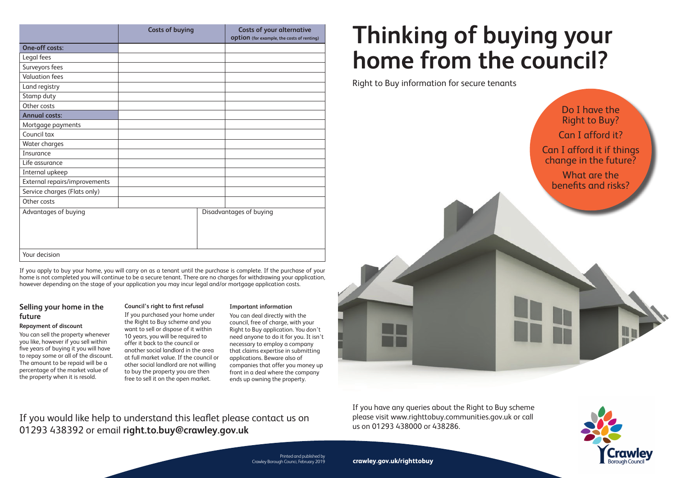If you have any queries about the Right to Buy scheme please visit www.righttobuy.communities.gov.uk or call us on 01293 438000 or 438286.

# **Thinking of buying your home from the council?**

Right to Buy information for secure tenants



Printed and published by Crawley Borough Counci, February 2019

If you apply to buy your home, you will carry on as a tenant until the purchase is complete. If the purchase of your home is not completed you will continue to be a secure tenant. There are no charges for withdrawing your application, however depending on the stage of your application you may incur legal and/or mortgage application costs.

# **Selling your home in the future**

# **Repayment of discount**

You can sell the property whenever you like, however if you sell within five years of buying it you will have to repay some or all of the discount. The amount to be repaid will be a percentage of the market value of the property when it is resold.

# **Council's right to first refusal**

If you purchased your home under the Right to Buy scheme and you want to sell or dispose of it within 10 years, you will be required to offer it back to the council or another social landlord in the area at full market value. If the council or other social landlord are not willing to buy the property you are then free to sell it on the open market.

# **Important information**

You can deal directly with the council, free of charge, with your Right to Buy application. You don't need anyone to do it for you. It isn't necessary to employ a company that claims expertise in submitting applications. Beware also of companies that offer you money up front in a deal where the company ends up owning the property.

If you would like help to understand this leaflet please contact us on 01293 438392 or email **right.to.buy@crawley.gov.uk**

|                               | <b>Costs of buying</b> | <b>Costs of your alternative</b><br><b>Option</b> (for example, the costs of renting) |
|-------------------------------|------------------------|---------------------------------------------------------------------------------------|
| <b>One-off costs:</b>         |                        |                                                                                       |
| Legal fees                    |                        |                                                                                       |
| Surveyors fees                |                        |                                                                                       |
| <b>Valuation fees</b>         |                        |                                                                                       |
| Land registry                 |                        |                                                                                       |
| Stamp duty                    |                        |                                                                                       |
| Other costs                   |                        |                                                                                       |
| <b>Annual costs:</b>          |                        |                                                                                       |
| Mortgage payments             |                        |                                                                                       |
| Council tax                   |                        |                                                                                       |
| Water charges                 |                        |                                                                                       |
| Insurance                     |                        |                                                                                       |
| Life assurance                |                        |                                                                                       |
| Internal upkeep               |                        |                                                                                       |
| External repairs/improvements |                        |                                                                                       |
| Service charges (Flats only)  |                        |                                                                                       |
| Other costs                   |                        |                                                                                       |
| Advantages of buying          |                        | Disadvantages of buying                                                               |
| Your decision                 |                        |                                                                                       |